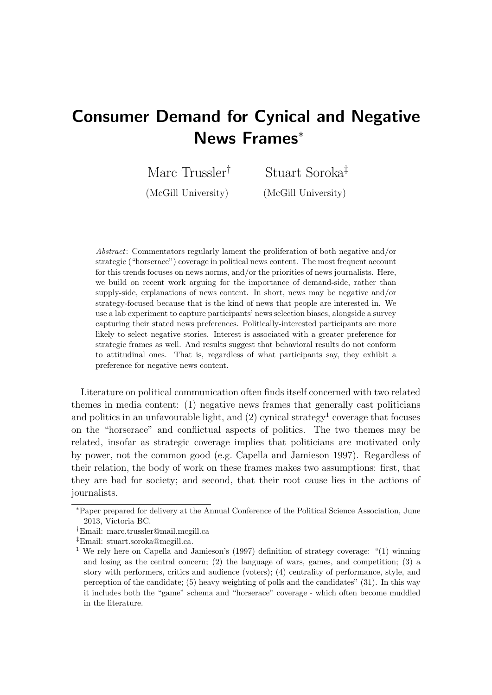# Consumer Demand for Cynical and Negative News Frames<sup>∗</sup>

Marc Trussler† (McGill University) Stuart Soroka‡ (McGill University)

Abstract: Commentators regularly lament the proliferation of both negative and/or strategic ("horserace") coverage in political news content. The most frequent account for this trends focuses on news norms, and/or the priorities of news journalists. Here, we build on recent work arguing for the importance of demand-side, rather than supply-side, explanations of news content. In short, news may be negative and/or strategy-focused because that is the kind of news that people are interested in. We use a lab experiment to capture participants' news selection biases, alongside a survey capturing their stated news preferences. Politically-interested participants are more likely to select negative stories. Interest is associated with a greater preference for strategic frames as well. And results suggest that behavioral results do not conform to attitudinal ones. That is, regardless of what participants say, they exhibit a preference for negative news content.

Literature on political communication often finds itself concerned with two related themes in media content: (1) negative news frames that generally cast politicians and politics in an unfavourable light, and  $(2)$  cynical strategy<sup>1</sup> coverage that focuses on the "horserace" and conflictual aspects of politics. The two themes may be related, insofar as strategic coverage implies that politicians are motivated only by power, not the common good (e.g. Capella and Jamieson 1997). Regardless of their relation, the body of work on these frames makes two assumptions: first, that they are bad for society; and second, that their root cause lies in the actions of journalists.

<sup>∗</sup>Paper prepared for delivery at the Annual Conference of the Political Science Association, June 2013, Victoria BC.

<sup>†</sup>Email: marc.trussler@mail.mcgill.ca

<sup>‡</sup>Email: stuart.soroka@mcgill.ca.

<sup>1</sup> We rely here on Capella and Jamieson's (1997) definition of strategy coverage: "(1) winning and losing as the central concern; (2) the language of wars, games, and competition; (3) a story with performers, critics and audience (voters); (4) centrality of performance, style, and perception of the candidate; (5) heavy weighting of polls and the candidates" (31). In this way it includes both the "game" schema and "horserace" coverage - which often become muddled in the literature.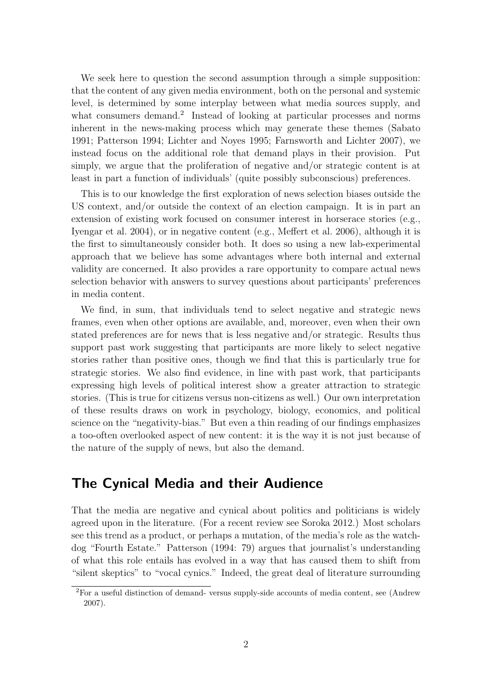We seek here to question the second assumption through a simple supposition: that the content of any given media environment, both on the personal and systemic level, is determined by some interplay between what media sources supply, and what consumers demand.<sup>2</sup> Instead of looking at particular processes and norms inherent in the news-making process which may generate these themes (Sabato 1991; Patterson 1994; Lichter and Noyes 1995; Farnsworth and Lichter 2007), we instead focus on the additional role that demand plays in their provision. Put simply, we argue that the proliferation of negative and/or strategic content is at least in part a function of individuals' (quite possibly subconscious) preferences.

This is to our knowledge the first exploration of news selection biases outside the US context, and/or outside the context of an election campaign. It is in part an extension of existing work focused on consumer interest in horserace stories (e.g., Iyengar et al. 2004), or in negative content (e.g., Meffert et al. 2006), although it is the first to simultaneously consider both. It does so using a new lab-experimental approach that we believe has some advantages where both internal and external validity are concerned. It also provides a rare opportunity to compare actual news selection behavior with answers to survey questions about participants' preferences in media content.

We find, in sum, that individuals tend to select negative and strategic news frames, even when other options are available, and, moreover, even when their own stated preferences are for news that is less negative and/or strategic. Results thus support past work suggesting that participants are more likely to select negative stories rather than positive ones, though we find that this is particularly true for strategic stories. We also find evidence, in line with past work, that participants expressing high levels of political interest show a greater attraction to strategic stories. (This is true for citizens versus non-citizens as well.) Our own interpretation of these results draws on work in psychology, biology, economics, and political science on the "negativity-bias." But even a thin reading of our findings emphasizes a too-often overlooked aspect of new content: it is the way it is not just because of the nature of the supply of news, but also the demand.

### The Cynical Media and their Audience

That the media are negative and cynical about politics and politicians is widely agreed upon in the literature. (For a recent review see Soroka 2012.) Most scholars see this trend as a product, or perhaps a mutation, of the media's role as the watchdog "Fourth Estate." Patterson (1994: 79) argues that journalist's understanding of what this role entails has evolved in a way that has caused them to shift from "silent skeptics" to "vocal cynics." Indeed, the great deal of literature surrounding

<sup>2</sup>For a useful distinction of demand- versus supply-side accounts of media content, see (Andrew 2007).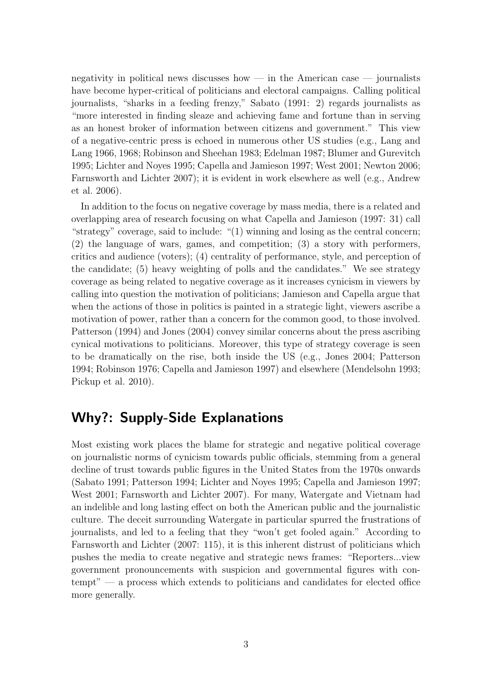negativity in political news discusses how — in the American case — journalists have become hyper-critical of politicians and electoral campaigns. Calling political journalists, "sharks in a feeding frenzy," Sabato (1991: 2) regards journalists as "more interested in finding sleaze and achieving fame and fortune than in serving as an honest broker of information between citizens and government." This view of a negative-centric press is echoed in numerous other US studies (e.g., Lang and Lang 1966, 1968; Robinson and Sheehan 1983; Edelman 1987; Blumer and Gurevitch 1995; Lichter and Noyes 1995; Capella and Jamieson 1997; West 2001; Newton 2006; Farnsworth and Lichter 2007); it is evident in work elsewhere as well (e.g., Andrew et al. 2006).

In addition to the focus on negative coverage by mass media, there is a related and overlapping area of research focusing on what Capella and Jamieson (1997: 31) call "strategy" coverage, said to include: "(1) winning and losing as the central concern; (2) the language of wars, games, and competition; (3) a story with performers, critics and audience (voters); (4) centrality of performance, style, and perception of the candidate; (5) heavy weighting of polls and the candidates." We see strategy coverage as being related to negative coverage as it increases cynicism in viewers by calling into question the motivation of politicians; Jamieson and Capella argue that when the actions of those in politics is painted in a strategic light, viewers ascribe a motivation of power, rather than a concern for the common good, to those involved. Patterson (1994) and Jones (2004) convey similar concerns about the press ascribing cynical motivations to politicians. Moreover, this type of strategy coverage is seen to be dramatically on the rise, both inside the US (e.g., Jones 2004; Patterson 1994; Robinson 1976; Capella and Jamieson 1997) and elsewhere (Mendelsohn 1993; Pickup et al. 2010).

# Why?: Supply-Side Explanations

Most existing work places the blame for strategic and negative political coverage on journalistic norms of cynicism towards public officials, stemming from a general decline of trust towards public figures in the United States from the 1970s onwards (Sabato 1991; Patterson 1994; Lichter and Noyes 1995; Capella and Jamieson 1997; West 2001; Farnsworth and Lichter 2007). For many, Watergate and Vietnam had an indelible and long lasting effect on both the American public and the journalistic culture. The deceit surrounding Watergate in particular spurred the frustrations of journalists, and led to a feeling that they "won't get fooled again." According to Farnsworth and Lichter (2007: 115), it is this inherent distrust of politicians which pushes the media to create negative and strategic news frames: "Reporters...view government pronouncements with suspicion and governmental figures with contempt" — a process which extends to politicians and candidates for elected office more generally.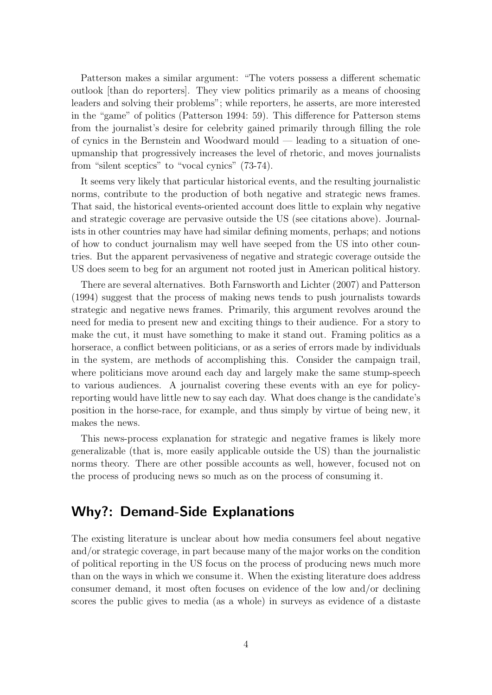Patterson makes a similar argument: "The voters possess a different schematic outlook [than do reporters]. They view politics primarily as a means of choosing leaders and solving their problems"; while reporters, he asserts, are more interested in the "game" of politics (Patterson 1994: 59). This difference for Patterson stems from the journalist's desire for celebrity gained primarily through filling the role of cynics in the Bernstein and Woodward mould — leading to a situation of oneupmanship that progressively increases the level of rhetoric, and moves journalists from "silent sceptics" to "vocal cynics" (73-74).

It seems very likely that particular historical events, and the resulting journalistic norms, contribute to the production of both negative and strategic news frames. That said, the historical events-oriented account does little to explain why negative and strategic coverage are pervasive outside the US (see citations above). Journalists in other countries may have had similar defining moments, perhaps; and notions of how to conduct journalism may well have seeped from the US into other countries. But the apparent pervasiveness of negative and strategic coverage outside the US does seem to beg for an argument not rooted just in American political history.

There are several alternatives. Both Farnsworth and Lichter (2007) and Patterson (1994) suggest that the process of making news tends to push journalists towards strategic and negative news frames. Primarily, this argument revolves around the need for media to present new and exciting things to their audience. For a story to make the cut, it must have something to make it stand out. Framing politics as a horserace, a conflict between politicians, or as a series of errors made by individuals in the system, are methods of accomplishing this. Consider the campaign trail, where politicians move around each day and largely make the same stump-speech to various audiences. A journalist covering these events with an eye for policyreporting would have little new to say each day. What does change is the candidate's position in the horse-race, for example, and thus simply by virtue of being new, it makes the news.

This news-process explanation for strategic and negative frames is likely more generalizable (that is, more easily applicable outside the US) than the journalistic norms theory. There are other possible accounts as well, however, focused not on the process of producing news so much as on the process of consuming it.

# Why?: Demand-Side Explanations

The existing literature is unclear about how media consumers feel about negative and/or strategic coverage, in part because many of the major works on the condition of political reporting in the US focus on the process of producing news much more than on the ways in which we consume it. When the existing literature does address consumer demand, it most often focuses on evidence of the low and/or declining scores the public gives to media (as a whole) in surveys as evidence of a distaste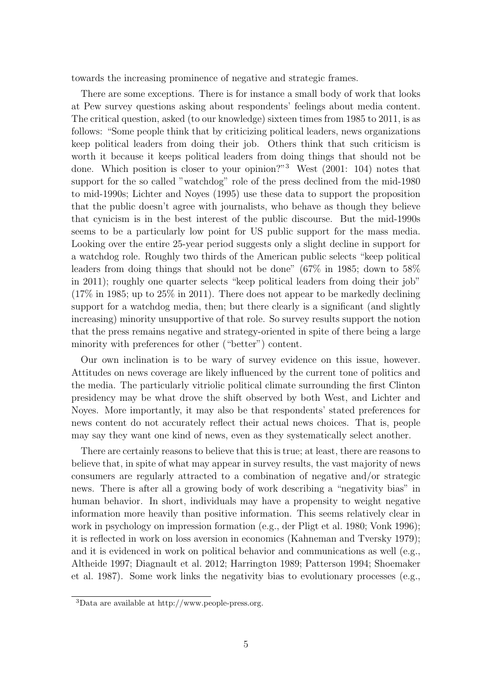towards the increasing prominence of negative and strategic frames.

There are some exceptions. There is for instance a small body of work that looks at Pew survey questions asking about respondents' feelings about media content. The critical question, asked (to our knowledge) sixteen times from 1985 to 2011, is as follows: "Some people think that by criticizing political leaders, news organizations keep political leaders from doing their job. Others think that such criticism is worth it because it keeps political leaders from doing things that should not be done. Which position is closer to your opinion?"<sup>3</sup> West (2001: 104) notes that support for the so called "watchdog" role of the press declined from the mid-1980 to mid-1990s; Lichter and Noyes (1995) use these data to support the proposition that the public doesn't agree with journalists, who behave as though they believe that cynicism is in the best interest of the public discourse. But the mid-1990s seems to be a particularly low point for US public support for the mass media. Looking over the entire 25-year period suggests only a slight decline in support for a watchdog role. Roughly two thirds of the American public selects "keep political leaders from doing things that should not be done" (67% in 1985; down to 58% in 2011); roughly one quarter selects "keep political leaders from doing their job"  $(17\%$  in 1985; up to 25% in 2011). There does not appear to be markedly declining support for a watchdog media, then; but there clearly is a significant (and slightly increasing) minority unsupportive of that role. So survey results support the notion that the press remains negative and strategy-oriented in spite of there being a large minority with preferences for other ("better") content.

Our own inclination is to be wary of survey evidence on this issue, however. Attitudes on news coverage are likely influenced by the current tone of politics and the media. The particularly vitriolic political climate surrounding the first Clinton presidency may be what drove the shift observed by both West, and Lichter and Noyes. More importantly, it may also be that respondents' stated preferences for news content do not accurately reflect their actual news choices. That is, people may say they want one kind of news, even as they systematically select another.

There are certainly reasons to believe that this is true; at least, there are reasons to believe that, in spite of what may appear in survey results, the vast majority of news consumers are regularly attracted to a combination of negative and/or strategic news. There is after all a growing body of work describing a "negativity bias" in human behavior. In short, individuals may have a propensity to weight negative information more heavily than positive information. This seems relatively clear in work in psychology on impression formation (e.g., der Pligt et al. 1980; Vonk 1996); it is reflected in work on loss aversion in economics (Kahneman and Tversky 1979); and it is evidenced in work on political behavior and communications as well (e.g., Altheide 1997; Diagnault et al. 2012; Harrington 1989; Patterson 1994; Shoemaker et al. 1987). Some work links the negativity bias to evolutionary processes (e.g.,

<sup>3</sup>Data are available at http://www.people-press.org.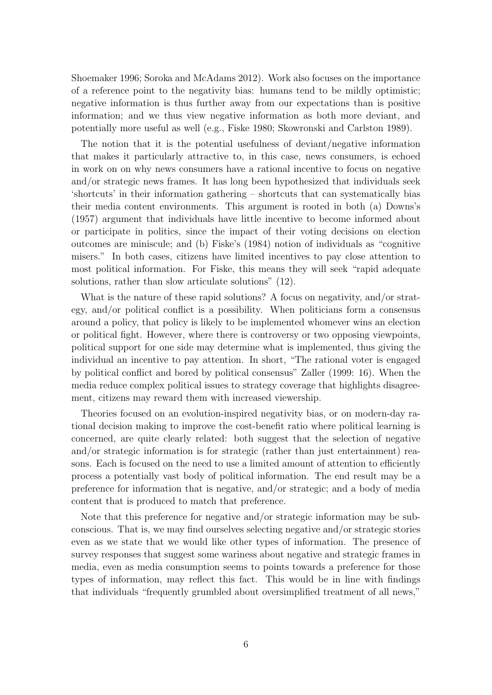Shoemaker 1996; Soroka and McAdams 2012). Work also focuses on the importance of a reference point to the negativity bias: humans tend to be mildly optimistic; negative information is thus further away from our expectations than is positive information; and we thus view negative information as both more deviant, and potentially more useful as well (e.g., Fiske 1980; Skowronski and Carlston 1989).

The notion that it is the potential usefulness of deviant/negative information that makes it particularly attractive to, in this case, news consumers, is echoed in work on on why news consumers have a rational incentive to focus on negative and/or strategic news frames. It has long been hypothesized that individuals seek 'shortcuts' in their information gathering – shortcuts that can systematically bias their media content environments. This argument is rooted in both (a) Downs's (1957) argument that individuals have little incentive to become informed about or participate in politics, since the impact of their voting decisions on election outcomes are miniscule; and (b) Fiske's (1984) notion of individuals as "cognitive misers." In both cases, citizens have limited incentives to pay close attention to most political information. For Fiske, this means they will seek "rapid adequate solutions, rather than slow articulate solutions" (12).

What is the nature of these rapid solutions? A focus on negativity, and/or strategy, and/or political conflict is a possibility. When politicians form a consensus around a policy, that policy is likely to be implemented whomever wins an election or political fight. However, where there is controversy or two opposing viewpoints, political support for one side may determine what is implemented, thus giving the individual an incentive to pay attention. In short, "The rational voter is engaged by political conflict and bored by political consensus" Zaller (1999: 16). When the media reduce complex political issues to strategy coverage that highlights disagreement, citizens may reward them with increased viewership.

Theories focused on an evolution-inspired negativity bias, or on modern-day rational decision making to improve the cost-benefit ratio where political learning is concerned, are quite clearly related: both suggest that the selection of negative and/or strategic information is for strategic (rather than just entertainment) reasons. Each is focused on the need to use a limited amount of attention to efficiently process a potentially vast body of political information. The end result may be a preference for information that is negative, and/or strategic; and a body of media content that is produced to match that preference.

Note that this preference for negative and/or strategic information may be subconscious. That is, we may find ourselves selecting negative and/or strategic stories even as we state that we would like other types of information. The presence of survey responses that suggest some wariness about negative and strategic frames in media, even as media consumption seems to points towards a preference for those types of information, may reflect this fact. This would be in line with findings that individuals "frequently grumbled about oversimplified treatment of all news,"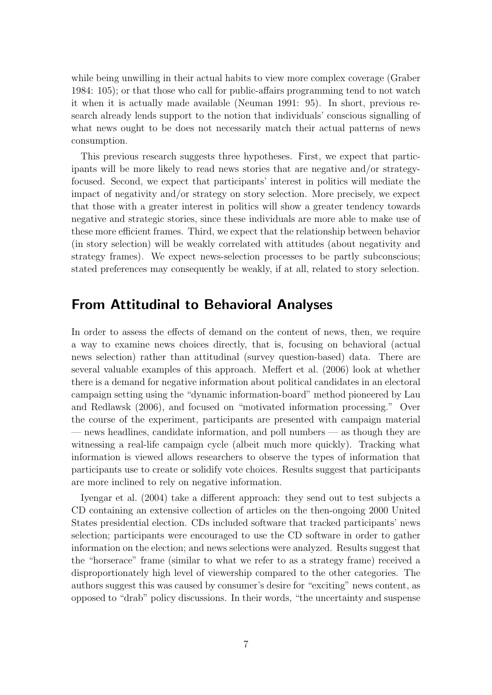while being unwilling in their actual habits to view more complex coverage (Graber 1984: 105); or that those who call for public-affairs programming tend to not watch it when it is actually made available (Neuman 1991: 95). In short, previous research already lends support to the notion that individuals' conscious signalling of what news ought to be does not necessarily match their actual patterns of news consumption.

This previous research suggests three hypotheses. First, we expect that participants will be more likely to read news stories that are negative and/or strategyfocused. Second, we expect that participants' interest in politics will mediate the impact of negativity and/or strategy on story selection. More precisely, we expect that those with a greater interest in politics will show a greater tendency towards negative and strategic stories, since these individuals are more able to make use of these more efficient frames. Third, we expect that the relationship between behavior (in story selection) will be weakly correlated with attitudes (about negativity and strategy frames). We expect news-selection processes to be partly subconscious; stated preferences may consequently be weakly, if at all, related to story selection.

### From Attitudinal to Behavioral Analyses

In order to assess the effects of demand on the content of news, then, we require a way to examine news choices directly, that is, focusing on behavioral (actual news selection) rather than attitudinal (survey question-based) data. There are several valuable examples of this approach. Meffert et al. (2006) look at whether there is a demand for negative information about political candidates in an electoral campaign setting using the "dynamic information-board" method pioneered by Lau and Redlawsk (2006), and focused on "motivated information processing." Over the course of the experiment, participants are presented with campaign material — news headlines, candidate information, and poll numbers — as though they are witnessing a real-life campaign cycle (albeit much more quickly). Tracking what information is viewed allows researchers to observe the types of information that participants use to create or solidify vote choices. Results suggest that participants are more inclined to rely on negative information.

Iyengar et al. (2004) take a different approach: they send out to test subjects a CD containing an extensive collection of articles on the then-ongoing 2000 United States presidential election. CDs included software that tracked participants' news selection; participants were encouraged to use the CD software in order to gather information on the election; and news selections were analyzed. Results suggest that the "horserace" frame (similar to what we refer to as a strategy frame) received a disproportionately high level of viewership compared to the other categories. The authors suggest this was caused by consumer's desire for "exciting" news content, as opposed to "drab" policy discussions. In their words, "the uncertainty and suspense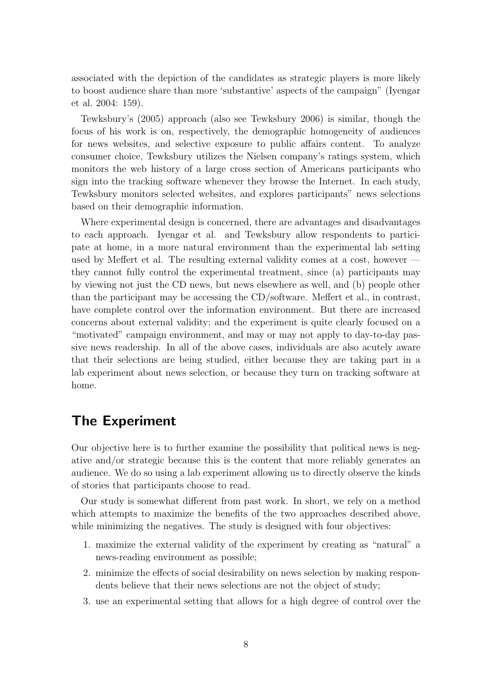associated with the depiction of the candidates as strategic players is more likely to boost audience share than more 'substantive' aspects of the campaign" (Iyengar et al. 2004: 159).

Tewksbury's (2005) approach (also see Tewksbury 2006) is similar, though the focus of his work is on, respectively, the demographic homogeneity of audiences for news websites, and selective exposure to public affairs content. To analyze consumer choice, Tewksbury utilizes the Nielsen company's ratings system, which monitors the web history of a large cross section of Americans participants who sign into the tracking software whenever they browse the Internet. In each study, Tewksbury monitors selected websites, and explores participants" news selections based on their demographic information.

Where experimental design is concerned, there are advantages and disadvantages to each approach. Iyengar et al. and Tewksbury allow respondents to participate at home, in a more natural environment than the experimental lab setting used by Meffert et al. The resulting external validity comes at a cost, however they cannot fully control the experimental treatment, since (a) participants may by viewing not just the CD news, but news elsewhere as well, and (b) people other than the participant may be accessing the CD/software. Meffert et al., in contrast, have complete control over the information environment. But there are increased concerns about external validity; and the experiment is quite clearly focused on a "motivated" campaign environment, and may or may not apply to day-to-day passive news readership. In all of the above cases, individuals are also acutely aware that their selections are being studied, either because they are taking part in a lab experiment about news selection, or because they turn on tracking software at home.

### The Experiment

Our objective here is to further examine the possibility that political news is negative and/or strategic because this is the content that more reliably generates an audience. We do so using a lab experiment allowing us to directly observe the kinds of stories that participants choose to read.

Our study is somewhat different from past work. In short, we rely on a method which attempts to maximize the benefits of the two approaches described above, while minimizing the negatives. The study is designed with four objectives:

- 1. maximize the external validity of the experiment by creating as "natural" a news-reading environment as possible;
- 2. minimize the effects of social desirability on news selection by making respondents believe that their news selections are not the object of study;
- 3. use an experimental setting that allows for a high degree of control over the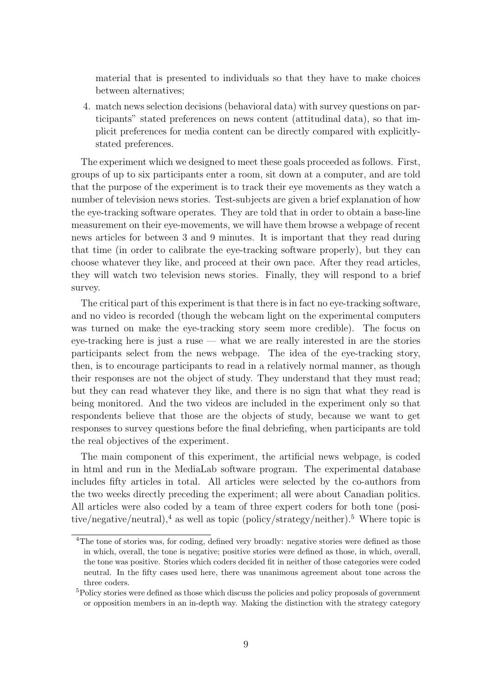material that is presented to individuals so that they have to make choices between alternatives;

4. match news selection decisions (behavioral data) with survey questions on participants" stated preferences on news content (attitudinal data), so that implicit preferences for media content can be directly compared with explicitlystated preferences.

The experiment which we designed to meet these goals proceeded as follows. First, groups of up to six participants enter a room, sit down at a computer, and are told that the purpose of the experiment is to track their eye movements as they watch a number of television news stories. Test-subjects are given a brief explanation of how the eye-tracking software operates. They are told that in order to obtain a base-line measurement on their eye-movements, we will have them browse a webpage of recent news articles for between 3 and 9 minutes. It is important that they read during that time (in order to calibrate the eye-tracking software properly), but they can choose whatever they like, and proceed at their own pace. After they read articles, they will watch two television news stories. Finally, they will respond to a brief survey.

The critical part of this experiment is that there is in fact no eye-tracking software, and no video is recorded (though the webcam light on the experimental computers was turned on make the eye-tracking story seem more credible). The focus on eye-tracking here is just a ruse — what we are really interested in are the stories participants select from the news webpage. The idea of the eye-tracking story, then, is to encourage participants to read in a relatively normal manner, as though their responses are not the object of study. They understand that they must read; but they can read whatever they like, and there is no sign that what they read is being monitored. And the two videos are included in the experiment only so that respondents believe that those are the objects of study, because we want to get responses to survey questions before the final debriefing, when participants are told the real objectives of the experiment.

The main component of this experiment, the artificial news webpage, is coded in html and run in the MediaLab software program. The experimental database includes fifty articles in total. All articles were selected by the co-authors from the two weeks directly preceding the experiment; all were about Canadian politics. All articles were also coded by a team of three expert coders for both tone (positive/negative/neutral),<sup>4</sup> as well as topic (policy/strategy/neither).<sup>5</sup> Where topic is

<sup>&</sup>lt;sup>4</sup>The tone of stories was, for coding, defined very broadly: negative stories were defined as those in which, overall, the tone is negative; positive stories were defined as those, in which, overall, the tone was positive. Stories which coders decided fit in neither of those categories were coded neutral. In the fifty cases used here, there was unanimous agreement about tone across the three coders.

<sup>5</sup>Policy stories were defined as those which discuss the policies and policy proposals of government or opposition members in an in-depth way. Making the distinction with the strategy category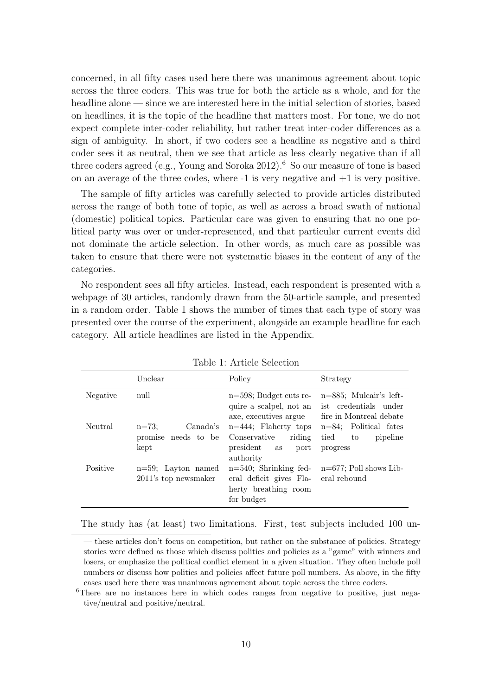concerned, in all fifty cases used here there was unanimous agreement about topic across the three coders. This was true for both the article as a whole, and for the headline alone — since we are interested here in the initial selection of stories, based on headlines, it is the topic of the headline that matters most. For tone, we do not expect complete inter-coder reliability, but rather treat inter-coder differences as a sign of ambiguity. In short, if two coders see a headline as negative and a third coder sees it as neutral, then we see that article as less clearly negative than if all three coders agreed (e.g., Young and Soroka 2012).<sup>6</sup> So our measure of tone is based on an average of the three codes, where  $-1$  is very negative and  $+1$  is very positive.

The sample of fifty articles was carefully selected to provide articles distributed across the range of both tone of topic, as well as across a broad swath of national (domestic) political topics. Particular care was given to ensuring that no one political party was over or under-represented, and that particular current events did not dominate the article selection. In other words, as much care as possible was taken to ensure that there were not systematic biases in the content of any of the categories.

No respondent sees all fifty articles. Instead, each respondent is presented with a webpage of 30 articles, randomly drawn from the 50-article sample, and presented in a random order. Table 1 shows the number of times that each type of story was presented over the course of the experiment, alongside an example headline for each category. All article headlines are listed in the Appendix.

|          | Unclear                                             | Policy                                                                                    | Strategy                                                                      |
|----------|-----------------------------------------------------|-------------------------------------------------------------------------------------------|-------------------------------------------------------------------------------|
| Negative | null                                                | $n=598$ ; Budget cuts re-<br>quire a scalpel, not an<br>axe, executives argue             | $n=885$ : Mulcair's left-<br>ist credentials under<br>fire in Montreal debate |
| Neutral  | Canada's<br>$n = 73$<br>promise needs to be<br>kept | $n=444$ : Flaherty taps<br>riding<br>Conservative<br>president<br>port<br>as<br>authority | $n=84$ : Political fates<br>tied<br>pipeline<br>to<br>progress                |
| Positive | $n=59$ : Layton named<br>2011's top newsmaker       | $n=540$ ; Shrinking fed-<br>eral deficit gives Fla-<br>herty breathing room<br>for budget | $n=677$ ; Poll shows Lib-<br>eral rebound                                     |

The study has (at least) two limitations. First, test subjects included 100 un-

<sup>—</sup> these articles don't focus on competition, but rather on the substance of policies. Strategy stories were defined as those which discuss politics and policies as a "game" with winners and losers, or emphasize the political conflict element in a given situation. They often include poll numbers or discuss how politics and policies affect future poll numbers. As above, in the fifty cases used here there was unanimous agreement about topic across the three coders.

<sup>&</sup>lt;sup>6</sup>There are no instances here in which codes ranges from negative to positive, just negative/neutral and positive/neutral.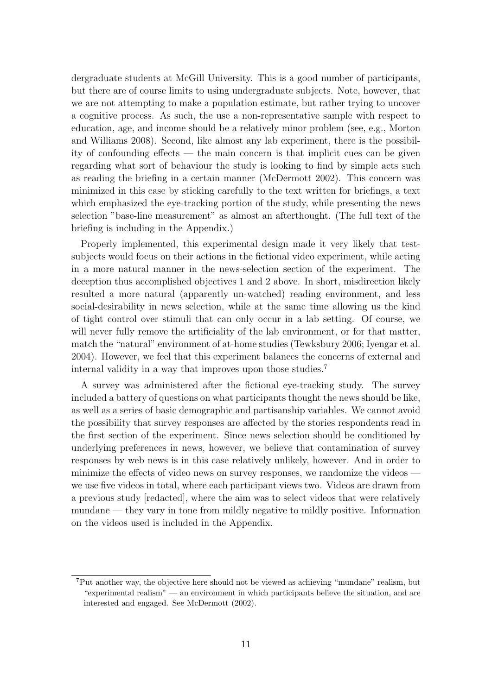dergraduate students at McGill University. This is a good number of participants, but there are of course limits to using undergraduate subjects. Note, however, that we are not attempting to make a population estimate, but rather trying to uncover a cognitive process. As such, the use a non-representative sample with respect to education, age, and income should be a relatively minor problem (see, e.g., Morton and Williams 2008). Second, like almost any lab experiment, there is the possibility of confounding effects — the main concern is that implicit cues can be given regarding what sort of behaviour the study is looking to find by simple acts such as reading the briefing in a certain manner (McDermott 2002). This concern was minimized in this case by sticking carefully to the text written for briefings, a text which emphasized the eye-tracking portion of the study, while presenting the news selection "base-line measurement" as almost an afterthought. (The full text of the briefing is including in the Appendix.)

Properly implemented, this experimental design made it very likely that testsubjects would focus on their actions in the fictional video experiment, while acting in a more natural manner in the news-selection section of the experiment. The deception thus accomplished objectives 1 and 2 above. In short, misdirection likely resulted a more natural (apparently un-watched) reading environment, and less social-desirability in news selection, while at the same time allowing us the kind of tight control over stimuli that can only occur in a lab setting. Of course, we will never fully remove the artificiality of the lab environment, or for that matter, match the "natural" environment of at-home studies (Tewksbury 2006; Iyengar et al. 2004). However, we feel that this experiment balances the concerns of external and internal validity in a way that improves upon those studies.<sup>7</sup>

A survey was administered after the fictional eye-tracking study. The survey included a battery of questions on what participants thought the news should be like, as well as a series of basic demographic and partisanship variables. We cannot avoid the possibility that survey responses are affected by the stories respondents read in the first section of the experiment. Since news selection should be conditioned by underlying preferences in news, however, we believe that contamination of survey responses by web news is in this case relatively unlikely, however. And in order to minimize the effects of video news on survey responses, we randomize the videos we use five videos in total, where each participant views two. Videos are drawn from a previous study [redacted], where the aim was to select videos that were relatively mundane — they vary in tone from mildly negative to mildly positive. Information on the videos used is included in the Appendix.

<sup>7</sup>Put another way, the objective here should not be viewed as achieving "mundane" realism, but "experimental realism" — an environment in which participants believe the situation, and are interested and engaged. See McDermott (2002).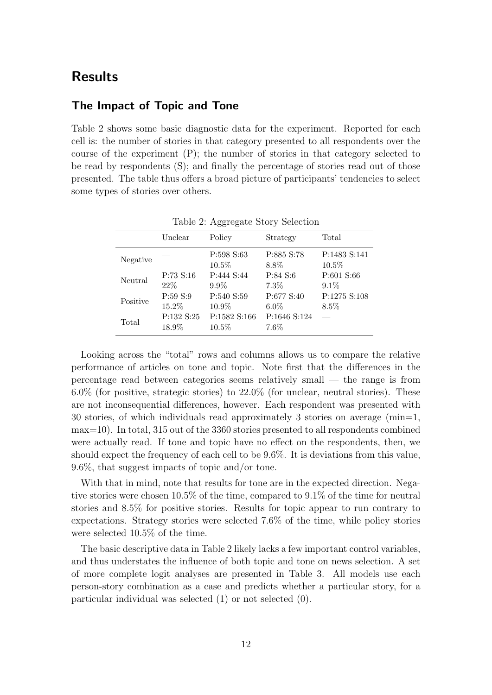# Results

#### The Impact of Topic and Tone

Table 2 shows some basic diagnostic data for the experiment. Reported for each cell is: the number of stories in that category presented to all respondents over the course of the experiment (P); the number of stories in that category selected to be read by respondents (S); and finally the percentage of stories read out of those presented. The table thus offers a broad picture of participants' tendencies to select some types of stories over others.

|          |                     | vv v                     |                         |                          |
|----------|---------------------|--------------------------|-------------------------|--------------------------|
|          | Unclear             | Policy                   | Strategy                | Total                    |
| Negative |                     | P:598 S:63<br>$10.5\%$   | P:885 S:78<br>$8.8\%$   | P:1483 S:141<br>$10.5\%$ |
| Neutral  | P:73 S:16<br>$22\%$ | P:444 S:44<br>$9.9\%$    | P:84 S:6<br>$7.3\%$     | P:601 S:66<br>$9.1\%$    |
| Positive | P:59 S:9<br>15.2%   | P:540 S:59<br>10.9%      | P:677 S:40<br>$6.0\%$   | P:1275 S:108<br>$8.5\%$  |
| Total    | P:132 S:25<br>18.9% | P:1582 S:166<br>$10.5\%$ | P:1646 S:124<br>$7.6\%$ |                          |

Table 2: Aggregate Story Selection

Looking across the "total" rows and columns allows us to compare the relative performance of articles on tone and topic. Note first that the differences in the percentage read between categories seems relatively small — the range is from 6.0% (for positive, strategic stories) to 22.0% (for unclear, neutral stories). These are not inconsequential differences, however. Each respondent was presented with 30 stories, of which individuals read approximately 3 stories on average (min=1, max=10). In total, 315 out of the 3360 stories presented to all respondents combined were actually read. If tone and topic have no effect on the respondents, then, we should expect the frequency of each cell to be 9.6%. It is deviations from this value, 9.6%, that suggest impacts of topic and/or tone.

With that in mind, note that results for tone are in the expected direction. Negative stories were chosen 10.5% of the time, compared to 9.1% of the time for neutral stories and 8.5% for positive stories. Results for topic appear to run contrary to expectations. Strategy stories were selected 7.6% of the time, while policy stories were selected 10.5% of the time.

The basic descriptive data in Table 2 likely lacks a few important control variables, and thus understates the influence of both topic and tone on news selection. A set of more complete logit analyses are presented in Table 3. All models use each person-story combination as a case and predicts whether a particular story, for a particular individual was selected (1) or not selected (0).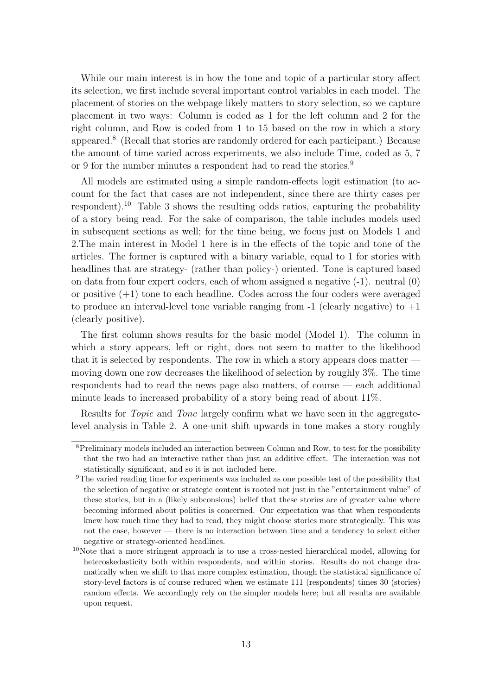While our main interest is in how the tone and topic of a particular story affect its selection, we first include several important control variables in each model. The placement of stories on the webpage likely matters to story selection, so we capture placement in two ways: Column is coded as 1 for the left column and 2 for the right column, and Row is coded from 1 to 15 based on the row in which a story appeared.<sup>8</sup> (Recall that stories are randomly ordered for each participant.) Because the amount of time varied across experiments, we also include Time, coded as 5, 7 or 9 for the number minutes a respondent had to read the stories.<sup>9</sup>

All models are estimated using a simple random-effects logit estimation (to account for the fact that cases are not independent, since there are thirty cases per respondent).<sup>10</sup> Table 3 shows the resulting odds ratios, capturing the probability of a story being read. For the sake of comparison, the table includes models used in subsequent sections as well; for the time being, we focus just on Models 1 and 2.The main interest in Model 1 here is in the effects of the topic and tone of the articles. The former is captured with a binary variable, equal to 1 for stories with headlines that are strategy- (rather than policy-) oriented. Tone is captured based on data from four expert coders, each of whom assigned a negative (-1). neutral (0) or positive  $(+1)$  tone to each headline. Codes across the four coders were averaged to produce an interval-level tone variable ranging from  $-1$  (clearly negative) to  $+1$ (clearly positive).

The first column shows results for the basic model (Model 1). The column in which a story appears, left or right, does not seem to matter to the likelihood that it is selected by respondents. The row in which a story appears does matter moving down one row decreases the likelihood of selection by roughly 3%. The time respondents had to read the news page also matters, of course — each additional minute leads to increased probability of a story being read of about 11%.

Results for Topic and Tone largely confirm what we have seen in the aggregatelevel analysis in Table 2. A one-unit shift upwards in tone makes a story roughly

<sup>&</sup>lt;sup>8</sup>Preliminary models included an interaction between Column and Row, to test for the possibility that the two had an interactive rather than just an additive effect. The interaction was not statistically significant, and so it is not included here.

<sup>9</sup>The varied reading time for experiments was included as one possible test of the possibility that the selection of negative or strategic content is rooted not just in the "entertainment value" of these stories, but in a (likely subconsious) belief that these stories are of greater value where becoming informed about politics is concerned. Our expectation was that when respondents knew how much time they had to read, they might choose stories more strategically. This was not the case, however — there is no interaction between time and a tendency to select either negative or strategy-oriented headlines.

 $10$ Note that a more stringent approach is to use a cross-nested hierarchical model, allowing for heteroskedasticity both within respondents, and within stories. Results do not change dramatically when we shift to that more complex estimation, though the statistical significance of story-level factors is of course reduced when we estimate 111 (respondents) times 30 (stories) random effects. We accordingly rely on the simpler models here; but all results are available upon request.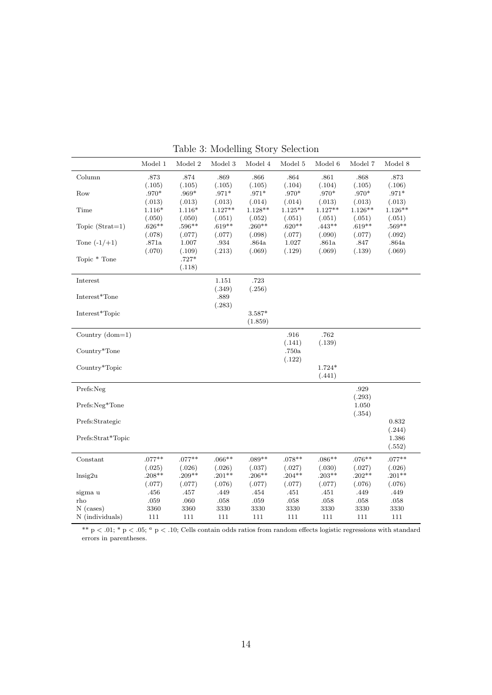|                   | Model 1  | Model 2  | Model 3   | Model 4   | Model 5          | Model 6   | Model 7   | Model 8          |
|-------------------|----------|----------|-----------|-----------|------------------|-----------|-----------|------------------|
| Column            | .873     | .874     | .869      | .866      | .864             | $.861\,$  | .868      | .873             |
|                   | (.105)   | (.105)   | (.105)    | (.105)    | (.104)           | (.104)    | (.105)    | (.106)           |
| Row               | $.970*$  | $.969*$  | $.971*$   | $.971*$   | $.970*$          | $.970*$   | $.970*$   | $.971^{\ast}$    |
|                   | (.013)   | (.013)   | (.013)    | (.014)    | (.014)           | (.013)    | (.013)    | (.013)           |
| Time              | $1.116*$ | $1.116*$ | $1.127**$ | $1.128**$ | $1.125**$        | $1.127**$ | $1.126**$ | $1.126**$        |
|                   | (.050)   | (.050)   | (.051)    | (.052)    | (.051)           | (.051)    | (.051)    | (.051)           |
| Topic $(Strat=1)$ | $.626**$ | $.596**$ | $.619**$  | $.260**$  | $.620**$         | $.443**$  | $.619**$  | $.569**$         |
|                   | (.078)   | (.077)   | (.077)    | (.098)    | (.077)           | (.090)    | (.077)    | (.092)           |
| Tone $(-1/+1)$    | .871a    | 1.007    | $.934\,$  | .864a     | 1.027            | .861a     | .847      | $.864\mathrm{a}$ |
|                   | (.070)   | (.109)   | (.213)    | (.069)    | (.129)           | (.069)    | (.139)    | (.069)           |
| Topic * Tone      |          | $.727*$  |           |           |                  |           |           |                  |
|                   |          | (.118)   |           |           |                  |           |           |                  |
| Interest          |          |          | 1.151     | .723      |                  |           |           |                  |
|                   |          |          | (.349)    | (.256)    |                  |           |           |                  |
| Interest*Tone     |          |          | .889      |           |                  |           |           |                  |
|                   |          |          | (.283)    |           |                  |           |           |                  |
| Interest*Topic    |          |          |           | $3.587*$  |                  |           |           |                  |
|                   |          |          |           | (1.859)   |                  |           |           |                  |
| Country $(dom=1)$ |          |          |           |           | .916             | .762      |           |                  |
|                   |          |          |           |           | (.141)           | (.139)    |           |                  |
| Country*Tone      |          |          |           |           | $.750\mathrm{a}$ |           |           |                  |
|                   |          |          |           |           | (.122)           |           |           |                  |
| Country*Topic     |          |          |           |           |                  | $1.724*$  |           |                  |
|                   |          |          |           |           |                  | (.441)    |           |                  |
| Prefs:Neg         |          |          |           |           |                  |           | .929      |                  |
|                   |          |          |           |           |                  |           | (.293)    |                  |
| Prefs:Neg*Tone    |          |          |           |           |                  |           | 1.050     |                  |
|                   |          |          |           |           |                  |           | (.354)    |                  |
| Prefs:Strategic   |          |          |           |           |                  |           |           | 0.832            |
|                   |          |          |           |           |                  |           |           | (.244)           |
| Prefs:Strat*Topic |          |          |           |           |                  |           |           | 1.386            |
|                   |          |          |           |           |                  |           |           | (.552)           |
| Constant          | $.077**$ | $.077**$ | $.066**$  | $.089**$  | $.078**$         | $.086**$  | $.076**$  | $.077**$         |
|                   | (.025)   | (.026)   | (.026)    | (.037)    | (.027)           | (.030)    | (.027)    | (.026)           |
| lnsig2u           | $.208**$ | $.209**$ | $.201**$  | $.206**$  | $.204**$         | $.203**$  | $.202**$  | $.201**$         |
|                   | (.077)   | (.077)   | (.076)    | (.077)    | (.077)           | (.077)    | (.076)    | (.076)           |
| sigma u           | .456     | .457     | .449      | .454      | .451             | .451      | .449      | .449             |
| rho               | .059     | .060     | $.058\,$  | $.059\,$  | .058             | .058      | $.058\,$  | .058             |
| $N$ (cases)       | 3360     | 3360     | 3330      | 3330      | 3330             | 3330      | 3330      | 3330             |
| N (individuals)   | 111      | 111      | 111       | 111       | 111              | 111       | 111       | 111              |

Table 3: Modelling Story Selection

\*\*  $p < .01$ ; \*  $p < .05$ ;  $a p < .10$ ; Cells contain odds ratios from random effects logistic regressions with standard errors in parentheses.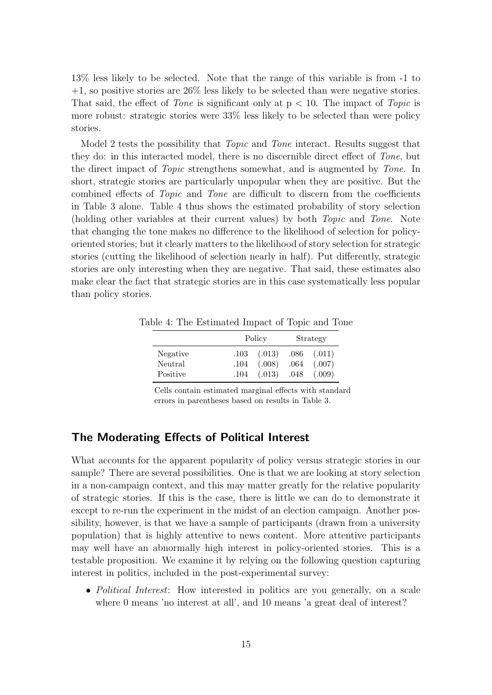13% less likely to be selected. Note that the range of this variable is from -1 to  $+1$ , so positive stories are 26% less likely to be selected than were negative stories. That said, the effect of *Tone* is significant only at  $p < 10$ . The impact of *Topic* is more robust: strategic stories were 33% less likely to be selected than were policy stories.

Model 2 tests the possibility that *Topic* and *Tone* interact. Results suggest that they do: in this interacted model, there is no discernible direct effect of Tone, but the direct impact of Topic strengthens somewhat, and is augmented by Tone. In short, strategic stories are particularly unpopular when they are positive. But the combined effects of Topic and Tone are difficult to discern from the coefficients in Table 3 alone. Table 4 thus shows the estimated probability of story selection (holding other variables at their current values) by both Topic and Tone. Note that changing the tone makes no difference to the likelihood of selection for policyoriented stories; but it clearly matters to the likelihood of story selection for strategic stories (cutting the likelihood of selection nearly in half). Put differently, strategic stories are only interesting when they are negative. That said, these estimates also make clear the fact that strategic stories are in this case systematically less popular than policy stories.

Table 4: The Estimated Impact of Topic and Tone

|                     |              | Policy                          | Strategy     |                  |  |
|---------------------|--------------|---------------------------------|--------------|------------------|--|
| Negative            |              | $.103$ $(.013)$ $.086$ $(.011)$ |              |                  |  |
| Neutral<br>Positive | .104<br>.104 | (.008)<br>(.013)                | .064<br>.048 | (.007)<br>(.009) |  |

Cells contain estimated marginal effects with standard errors in parentheses based on results in Table 3.

#### The Moderating Effects of Political Interest

What accounts for the apparent popularity of policy versus strategic stories in our sample? There are several possibilities. One is that we are looking at story selection in a non-campaign context, and this may matter greatly for the relative popularity of strategic stories. If this is the case, there is little we can do to demonstrate it except to re-run the experiment in the midst of an election campaign. Another possibility, however, is that we have a sample of participants (drawn from a university population) that is highly attentive to news content. More attentive participants may well have an abnormally high interest in policy-oriented stories. This is a testable proposition. We examine it by relying on the following question capturing interest in politics, included in the post-experimental survey:

• *Political Interest*: How interested in politics are you generally, on a scale where 0 means 'no interest at all', and 10 means 'a great deal of interest?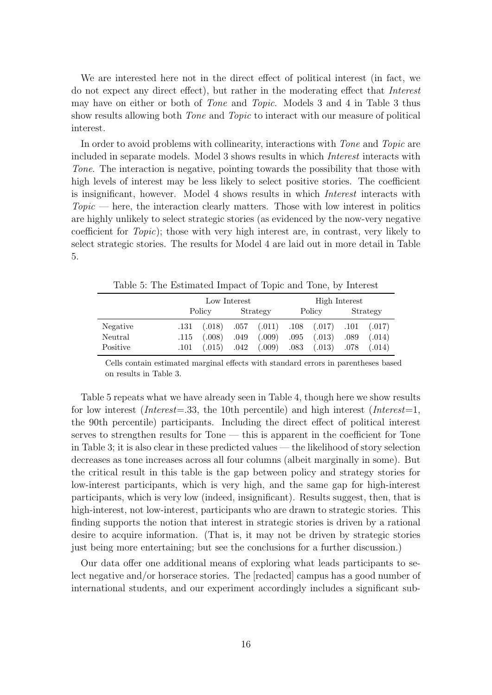We are interested here not in the direct effect of political interest (in fact, we do not expect any direct effect), but rather in the moderating effect that Interest may have on either or both of Tone and Topic. Models 3 and 4 in Table 3 thus show results allowing both Tone and Topic to interact with our measure of political interest.

In order to avoid problems with collinearity, interactions with Tone and Topic are included in separate models. Model 3 shows results in which Interest interacts with Tone. The interaction is negative, pointing towards the possibility that those with high levels of interest may be less likely to select positive stories. The coefficient is insignificant, however. Model 4 shows results in which Interest interacts with  $Topic$  — here, the interaction clearly matters. Those with low interest in politics are highly unlikely to select strategic stories (as evidenced by the now-very negative coefficient for Topic); those with very high interest are, in contrast, very likely to select strategic stories. The results for Model 4 are laid out in more detail in Table 5.

|          | Low Interest |                                                                 |          |  | High Interest |                          |          |        |  |
|----------|--------------|-----------------------------------------------------------------|----------|--|---------------|--------------------------|----------|--------|--|
|          | Policy       |                                                                 | Strategy |  | Policy        |                          | Strategy |        |  |
| Negative |              | $.131$ $(.018)$ $.057$ $(.011)$ $.108$ $(.017)$ $.101$ $(.017)$ |          |  |               |                          |          |        |  |
| Neutral  | .115         | (.008)                                                          | .049     |  |               | $(.009)$ $.095$ $(.013)$ | .089     | (.014) |  |
| Positive |              | $.101$ $(.015)$ $.042$ $(.009)$ $.083$ $(.013)$ $.078$          |          |  |               |                          |          | (.014) |  |

Table 5: The Estimated Impact of Topic and Tone, by Interest

Cells contain estimated marginal effects with standard errors in parentheses based on results in Table 3.

Table 5 repeats what we have already seen in Table 4, though here we show results for low interest (*Interest*=.33, the 10th percentile) and high interest (*Interest*=1, the 90th percentile) participants. Including the direct effect of political interest serves to strengthen results for Tone — this is apparent in the coefficient for Tone in Table 3; it is also clear in these predicted values — the likelihood of story selection decreases as tone increases across all four columns (albeit marginally in some). But the critical result in this table is the gap between policy and strategy stories for low-interest participants, which is very high, and the same gap for high-interest participants, which is very low (indeed, insignificant). Results suggest, then, that is high-interest, not low-interest, participants who are drawn to strategic stories. This finding supports the notion that interest in strategic stories is driven by a rational desire to acquire information. (That is, it may not be driven by strategic stories just being more entertaining; but see the conclusions for a further discussion.)

Our data offer one additional means of exploring what leads participants to select negative and/or horserace stories. The [redacted] campus has a good number of international students, and our experiment accordingly includes a significant sub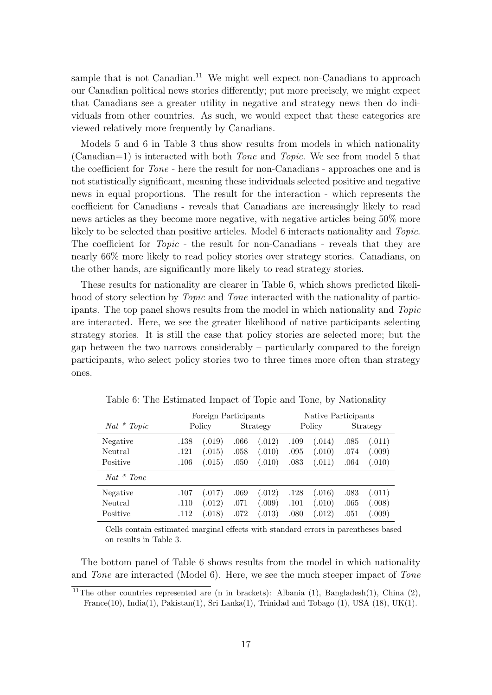sample that is not Canadian.<sup>11</sup> We might well expect non-Canadians to approach our Canadian political news stories differently; put more precisely, we might expect that Canadians see a greater utility in negative and strategy news then do individuals from other countries. As such, we would expect that these categories are viewed relatively more frequently by Canadians.

Models 5 and 6 in Table 3 thus show results from models in which nationality (Canadian=1) is interacted with both Tone and Topic. We see from model 5 that the coefficient for Tone - here the result for non-Canadians - approaches one and is not statistically significant, meaning these individuals selected positive and negative news in equal proportions. The result for the interaction - which represents the coefficient for Canadians - reveals that Canadians are increasingly likely to read news articles as they become more negative, with negative articles being 50% more likely to be selected than positive articles. Model 6 interacts nationality and Topic. The coefficient for Topic - the result for non-Canadians - reveals that they are nearly 66% more likely to read policy stories over strategy stories. Canadians, on the other hands, are significantly more likely to read strategy stories.

These results for nationality are clearer in Table 6, which shows predicted likelihood of story selection by *Topic* and *Tone* interacted with the nationality of participants. The top panel shows results from the model in which nationality and Topic are interacted. Here, we see the greater likelihood of native participants selecting strategy stories. It is still the case that policy stories are selected more; but the gap between the two narrows considerably – particularly compared to the foreign participants, who select policy stories two to three times more often than strategy ones.

| $Nat * Topic$ | Policy |        | Foreign Participants<br>Strategy |        | Policy |                      | Native Participants<br>Strategy |        |
|---------------|--------|--------|----------------------------------|--------|--------|----------------------|---------------------------------|--------|
| Negative      | .138   | (.019) | .066                             | (.012) | .109   | (.014)               | .085                            | (.011) |
| Neutral       | .121   | (.015) | .058                             | (.010) | .095   | (.010)               | .074                            | (.009) |
| Positive      | .106   | (.015) | .050                             | (.010) | .083   | (.011)               | .064                            | (.010) |
| $Nat * Tone$  |        |        |                                  |        |        |                      |                                 |        |
| Negative      | .107   | (.017) | .069                             | (.012) | .128   | (.016)               | .083                            | (.011) |
| Neutral       | .110   | (.012) | .071                             | (.009) | .101   | (.010)               | .065                            | (.008) |
| Positive      | .112   | 0.018  | .072                             | (.013) | .080   | $\left( .012\right)$ | .051                            | (.009) |

Table 6: The Estimated Impact of Topic and Tone, by Nationality

Cells contain estimated marginal effects with standard errors in parentheses based on results in Table 3.

The bottom panel of Table 6 shows results from the model in which nationality and Tone are interacted (Model 6). Here, we see the much steeper impact of Tone

<sup>&</sup>lt;sup>11</sup>The other countries represented are (n in brackets): Albania (1), Bangladesh(1), China (2), France(10), India(1), Pakistan(1), Sri Lanka(1), Trinidad and Tobago (1), USA (18), UK(1).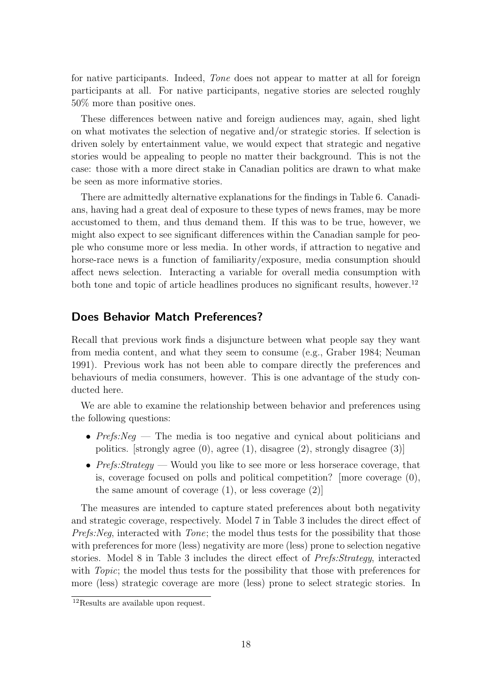for native participants. Indeed, Tone does not appear to matter at all for foreign participants at all. For native participants, negative stories are selected roughly 50% more than positive ones.

These differences between native and foreign audiences may, again, shed light on what motivates the selection of negative and/or strategic stories. If selection is driven solely by entertainment value, we would expect that strategic and negative stories would be appealing to people no matter their background. This is not the case: those with a more direct stake in Canadian politics are drawn to what make be seen as more informative stories.

There are admittedly alternative explanations for the findings in Table 6. Canadians, having had a great deal of exposure to these types of news frames, may be more accustomed to them, and thus demand them. If this was to be true, however, we might also expect to see significant differences within the Canadian sample for people who consume more or less media. In other words, if attraction to negative and horse-race news is a function of familiarity/exposure, media consumption should affect news selection. Interacting a variable for overall media consumption with both tone and topic of article headlines produces no significant results, however.<sup>12</sup>

#### Does Behavior Match Preferences?

Recall that previous work finds a disjuncture between what people say they want from media content, and what they seem to consume (e.g., Graber 1984; Neuman 1991). Previous work has not been able to compare directly the preferences and behaviours of media consumers, however. This is one advantage of the study conducted here.

We are able to examine the relationship between behavior and preferences using the following questions:

- Prefs: Neg The media is too negative and cynical about politicians and politics. [strongly agree (0), agree (1), disagree (2), strongly disagree (3)]
- Prefs: Strategy Would you like to see more or less horserace coverage, that is, coverage focused on polls and political competition? [more coverage (0), the same amount of coverage  $(1)$ , or less coverage  $(2)$ ]

The measures are intended to capture stated preferences about both negativity and strategic coverage, respectively. Model 7 in Table 3 includes the direct effect of Prefs: Neg, interacted with Tone; the model thus tests for the possibility that those with preferences for more (less) negativity are more (less) prone to selection negative stories. Model 8 in Table 3 includes the direct effect of Prefs:Strategy, interacted with *Topic*; the model thus tests for the possibility that those with preferences for more (less) strategic coverage are more (less) prone to select strategic stories. In

<sup>&</sup>lt;sup>12</sup>Results are available upon request.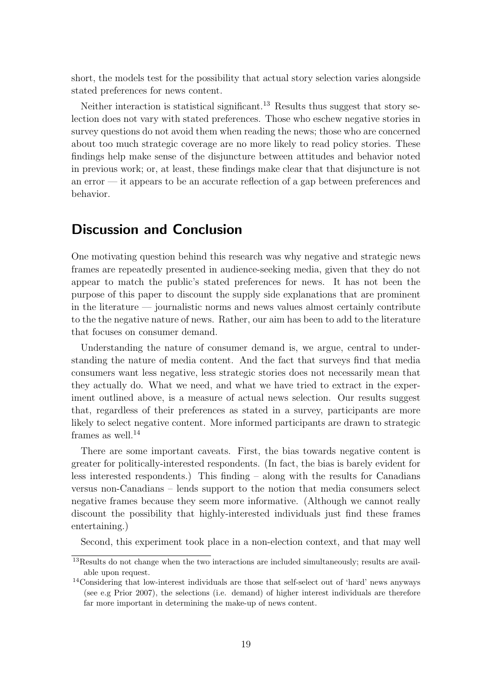short, the models test for the possibility that actual story selection varies alongside stated preferences for news content.

Neither interaction is statistical significant.<sup>13</sup> Results thus suggest that story selection does not vary with stated preferences. Those who eschew negative stories in survey questions do not avoid them when reading the news; those who are concerned about too much strategic coverage are no more likely to read policy stories. These findings help make sense of the disjuncture between attitudes and behavior noted in previous work; or, at least, these findings make clear that that disjuncture is not an error — it appears to be an accurate reflection of a gap between preferences and behavior.

### Discussion and Conclusion

One motivating question behind this research was why negative and strategic news frames are repeatedly presented in audience-seeking media, given that they do not appear to match the public's stated preferences for news. It has not been the purpose of this paper to discount the supply side explanations that are prominent in the literature — journalistic norms and news values almost certainly contribute to the the negative nature of news. Rather, our aim has been to add to the literature that focuses on consumer demand.

Understanding the nature of consumer demand is, we argue, central to understanding the nature of media content. And the fact that surveys find that media consumers want less negative, less strategic stories does not necessarily mean that they actually do. What we need, and what we have tried to extract in the experiment outlined above, is a measure of actual news selection. Our results suggest that, regardless of their preferences as stated in a survey, participants are more likely to select negative content. More informed participants are drawn to strategic frames as well. $^{14}$ 

There are some important caveats. First, the bias towards negative content is greater for politically-interested respondents. (In fact, the bias is barely evident for less interested respondents.) This finding – along with the results for Canadians versus non-Canadians – lends support to the notion that media consumers select negative frames because they seem more informative. (Although we cannot really discount the possibility that highly-interested individuals just find these frames entertaining.)

Second, this experiment took place in a non-election context, and that may well

<sup>&</sup>lt;sup>13</sup>Results do not change when the two interactions are included simultaneously; results are available upon request.

<sup>14</sup>Considering that low-interest individuals are those that self-select out of 'hard' news anyways (see e.g Prior 2007), the selections (i.e. demand) of higher interest individuals are therefore far more important in determining the make-up of news content.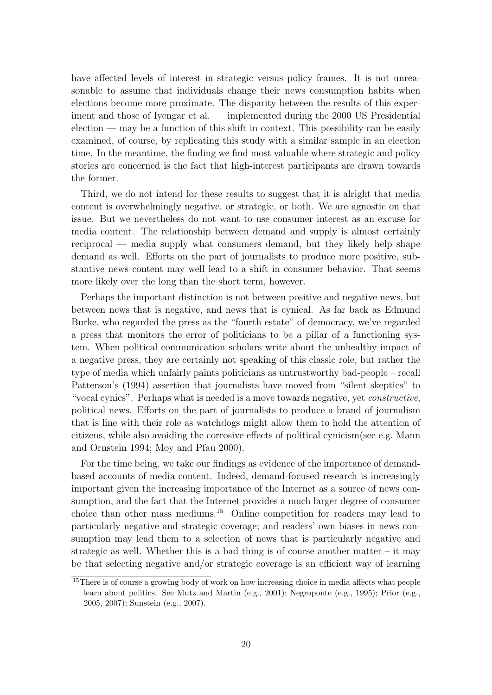have affected levels of interest in strategic versus policy frames. It is not unreasonable to assume that individuals change their news consumption habits when elections become more proximate. The disparity between the results of this experiment and those of Iyengar et al. — implemented during the 2000 US Presidential  $e$  election — may be a function of this shift in context. This possibility can be easily examined, of course, by replicating this study with a similar sample in an election time. In the meantime, the finding we find most valuable where strategic and policy stories are concerned is the fact that high-interest participants are drawn towards the former.

Third, we do not intend for these results to suggest that it is alright that media content is overwhelmingly negative, or strategic, or both. We are agnostic on that issue. But we nevertheless do not want to use consumer interest as an excuse for media content. The relationship between demand and supply is almost certainly reciprocal — media supply what consumers demand, but they likely help shape demand as well. Efforts on the part of journalists to produce more positive, substantive news content may well lead to a shift in consumer behavior. That seems more likely over the long than the short term, however.

Perhaps the important distinction is not between positive and negative news, but between news that is negative, and news that is cynical. As far back as Edmund Burke, who regarded the press as the "fourth estate" of democracy, we've regarded a press that monitors the error of politicians to be a pillar of a functioning system. When political communication scholars write about the unhealthy impact of a negative press, they are certainly not speaking of this classic role, but rather the type of media which unfairly paints politicians as untrustworthy bad-people – recall Patterson's (1994) assertion that journalists have moved from "silent skeptics" to "vocal cynics". Perhaps what is needed is a move towards negative, yet constructive, political news. Efforts on the part of journalists to produce a brand of journalism that is line with their role as watchdogs might allow them to hold the attention of citizens, while also avoiding the corrosive effects of political cynicism(see e.g. Mann and Ornstein 1994; Moy and Pfau 2000).

For the time being, we take our findings as evidence of the importance of demandbased accounts of media content. Indeed, demand-focused research is increasingly important given the increasing importance of the Internet as a source of news consumption, and the fact that the Internet provides a much larger degree of consumer choice than other mass mediums.<sup>15</sup> Online competition for readers may lead to particularly negative and strategic coverage; and readers' own biases in news consumption may lead them to a selection of news that is particularly negative and strategic as well. Whether this is a bad thing is of course another matter – it may be that selecting negative and/or strategic coverage is an efficient way of learning

<sup>&</sup>lt;sup>15</sup>There is of course a growing body of work on how increasing choice in media affects what people learn about politics. See Mutz and Martin (e.g., 2001); Negroponte (e.g., 1995); Prior (e.g., 2005, 2007); Sunstein (e.g., 2007).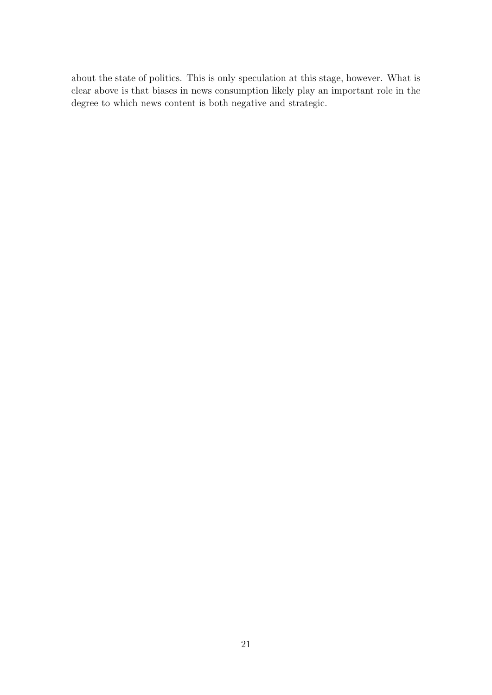about the state of politics. This is only speculation at this stage, however. What is clear above is that biases in news consumption likely play an important role in the degree to which news content is both negative and strategic.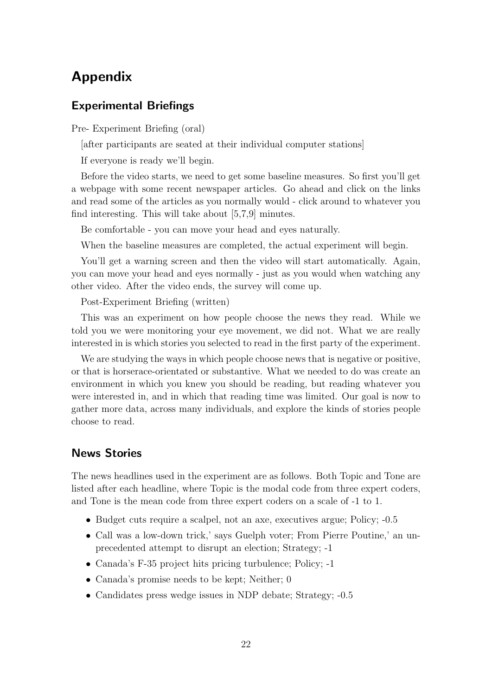# Appendix

#### Experimental Briefings

Pre- Experiment Briefing (oral)

[after participants are seated at their individual computer stations]

If everyone is ready we'll begin.

Before the video starts, we need to get some baseline measures. So first you'll get a webpage with some recent newspaper articles. Go ahead and click on the links and read some of the articles as you normally would - click around to whatever you find interesting. This will take about [5,7,9] minutes.

Be comfortable - you can move your head and eyes naturally.

When the baseline measures are completed, the actual experiment will begin.

You'll get a warning screen and then the video will start automatically. Again, you can move your head and eyes normally - just as you would when watching any other video. After the video ends, the survey will come up.

Post-Experiment Briefing (written)

This was an experiment on how people choose the news they read. While we told you we were monitoring your eye movement, we did not. What we are really interested in is which stories you selected to read in the first party of the experiment.

We are studying the ways in which people choose news that is negative or positive, or that is horserace-orientated or substantive. What we needed to do was create an environment in which you knew you should be reading, but reading whatever you were interested in, and in which that reading time was limited. Our goal is now to gather more data, across many individuals, and explore the kinds of stories people choose to read.

#### News Stories

The news headlines used in the experiment are as follows. Both Topic and Tone are listed after each headline, where Topic is the modal code from three expert coders, and Tone is the mean code from three expert coders on a scale of -1 to 1.

- Budget cuts require a scalpel, not an axe, executives argue; Policy; -0.5
- Call was a low-down trick,' says Guelph voter; From Pierre Poutine,' an unprecedented attempt to disrupt an election; Strategy; -1
- Canada's F-35 project hits pricing turbulence; Policy; -1
- Canada's promise needs to be kept; Neither; 0
- Candidates press wedge issues in NDP debate; Strategy;  $-0.5$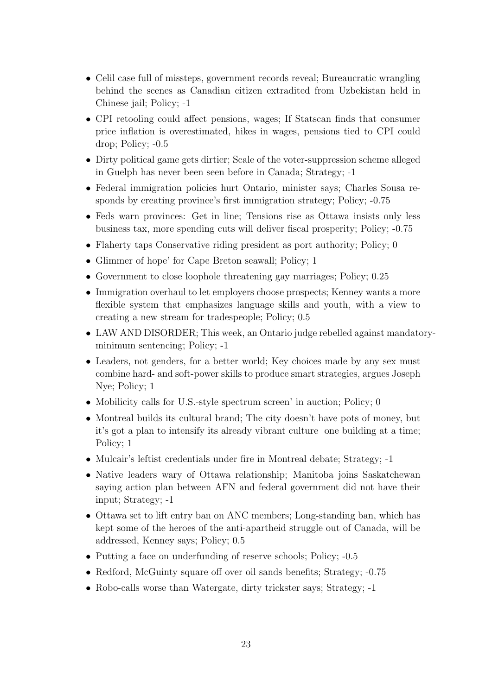- Celil case full of missteps, government records reveal; Bureaucratic wrangling behind the scenes as Canadian citizen extradited from Uzbekistan held in Chinese jail; Policy; -1
- CPI retooling could affect pensions, wages; If Statscan finds that consumer price inflation is overestimated, hikes in wages, pensions tied to CPI could drop; Policy; -0.5
- Dirty political game gets dirtier; Scale of the voter-suppression scheme alleged in Guelph has never been seen before in Canada; Strategy; -1
- Federal immigration policies hurt Ontario, minister says; Charles Sousa responds by creating province's first immigration strategy; Policy; -0.75
- Feds warn provinces: Get in line; Tensions rise as Ottawa insists only less business tax, more spending cuts will deliver fiscal prosperity; Policy; -0.75
- Flaherty taps Conservative riding president as port authority; Policy; 0
- Glimmer of hope' for Cape Breton seawall; Policy; 1
- Government to close loophole threatening gay marriages; Policy; 0.25
- Immigration overhaul to let employers choose prospects; Kenney wants a more flexible system that emphasizes language skills and youth, with a view to creating a new stream for tradespeople; Policy; 0.5
- LAW AND DISORDER; This week, an Ontario judge rebelled against mandatoryminimum sentencing; Policy; -1
- Leaders, not genders, for a better world; Key choices made by any sex must combine hard- and soft-power skills to produce smart strategies, argues Joseph Nye; Policy; 1
- Mobilicity calls for U.S.-style spectrum screen' in auction; Policy; 0
- Montreal builds its cultural brand; The city doesn't have pots of money, but it's got a plan to intensify its already vibrant culture one building at a time; Policy; 1
- Mulcair's leftist credentials under fire in Montreal debate; Strategy; -1
- Native leaders wary of Ottawa relationship; Manitoba joins Saskatchewan saying action plan between AFN and federal government did not have their input; Strategy; -1
- Ottawa set to lift entry ban on ANC members; Long-standing ban, which has kept some of the heroes of the anti-apartheid struggle out of Canada, will be addressed, Kenney says; Policy; 0.5
- Putting a face on underfunding of reserve schools; Policy;  $-0.5$
- Redford, McGuinty square off over oil sands benefits; Strategy;  $-0.75$
- Robo-calls worse than Watergate, dirty trickster says; Strategy; -1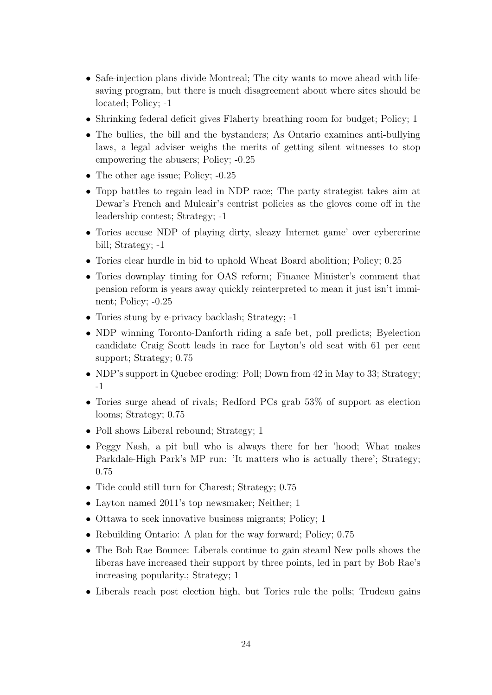- Safe-injection plans divide Montreal; The city wants to move ahead with lifesaving program, but there is much disagreement about where sites should be located; Policy; -1
- Shrinking federal deficit gives Flaherty breathing room for budget; Policy; 1
- The bullies, the bill and the bystanders; As Ontario examines anti-bullying laws, a legal adviser weighs the merits of getting silent witnesses to stop empowering the abusers; Policy; -0.25
- The other age issue; Policy;  $-0.25$
- Topp battles to regain lead in NDP race; The party strategist takes aim at Dewar's French and Mulcair's centrist policies as the gloves come off in the leadership contest; Strategy; -1
- Tories accuse NDP of playing dirty, sleazy Internet game' over cybercrime bill; Strategy; -1
- Tories clear hurdle in bid to uphold Wheat Board abolition; Policy; 0.25
- Tories downplay timing for OAS reform; Finance Minister's comment that pension reform is years away quickly reinterpreted to mean it just isn't imminent; Policy; -0.25
- Tories stung by e-privacy backlash; Strategy; -1
- NDP winning Toronto-Danforth riding a safe bet, poll predicts; Byelection candidate Craig Scott leads in race for Layton's old seat with 61 per cent support; Strategy; 0.75
- NDP's support in Quebec eroding: Poll; Down from 42 in May to 33; Strategy; -1
- Tories surge ahead of rivals; Redford PCs grab 53% of support as election looms; Strategy; 0.75
- Poll shows Liberal rebound; Strategy; 1
- Peggy Nash, a pit bull who is always there for her 'hood; What makes Parkdale-High Park's MP run: 'It matters who is actually there'; Strategy; 0.75
- Tide could still turn for Charest; Strategy; 0.75
- Layton named 2011's top newsmaker; Neither; 1
- Ottawa to seek innovative business migrants; Policy; 1
- Rebuilding Ontario: A plan for the way forward; Policy; 0.75
- The Bob Rae Bounce: Liberals continue to gain steaml New polls shows the liberas have increased their support by three points, led in part by Bob Rae's increasing popularity.; Strategy; 1
- Liberals reach post election high, but Tories rule the polls; Trudeau gains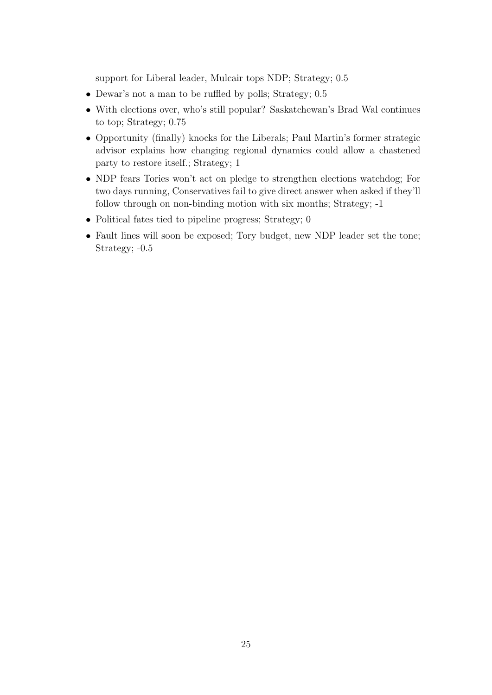support for Liberal leader, Mulcair tops NDP; Strategy; 0.5

- Dewar's not a man to be ruffled by polls; Strategy; 0.5
- With elections over, who's still popular? Saskatchewan's Brad Wal continues to top; Strategy; 0.75
- Opportunity (finally) knocks for the Liberals; Paul Martin's former strategic advisor explains how changing regional dynamics could allow a chastened party to restore itself.; Strategy; 1
- NDP fears Tories won't act on pledge to strengthen elections watchdog; For two days running, Conservatives fail to give direct answer when asked if they'll follow through on non-binding motion with six months; Strategy; -1
- Political fates tied to pipeline progress; Strategy; 0
- Fault lines will soon be exposed; Tory budget, new NDP leader set the tone; Strategy; -0.5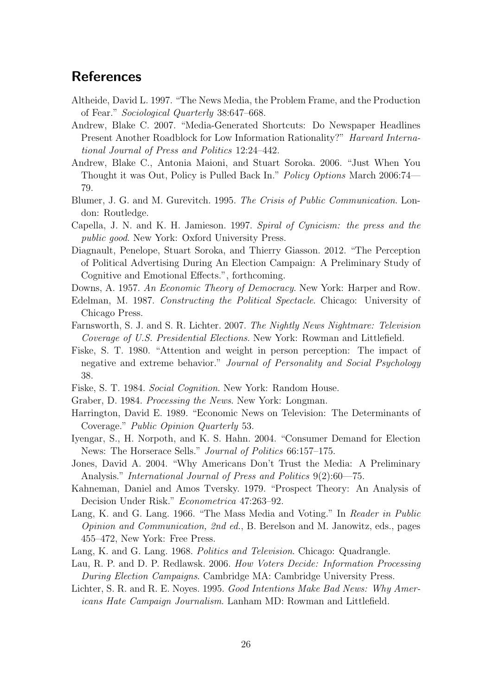# **References**

- Altheide, David L. 1997. "The News Media, the Problem Frame, and the Production of Fear." Sociological Quarterly 38:647–668.
- Andrew, Blake C. 2007. "Media-Generated Shortcuts: Do Newspaper Headlines Present Another Roadblock for Low Information Rationality?" Harvard International Journal of Press and Politics 12:24–442.
- Andrew, Blake C., Antonia Maioni, and Stuart Soroka. 2006. "Just When You Thought it was Out, Policy is Pulled Back In." Policy Options March 2006:74— 79.
- Blumer, J. G. and M. Gurevitch. 1995. The Crisis of Public Communication. London: Routledge.
- Capella, J. N. and K. H. Jamieson. 1997. Spiral of Cynicism: the press and the public good. New York: Oxford University Press.
- Diagnault, Penelope, Stuart Soroka, and Thierry Giasson. 2012. "The Perception of Political Advertising During An Election Campaign: A Preliminary Study of Cognitive and Emotional Effects.", forthcoming.
- Downs, A. 1957. An Economic Theory of Democracy. New York: Harper and Row.
- Edelman, M. 1987. Constructing the Political Spectacle. Chicago: University of Chicago Press.
- Farnsworth, S. J. and S. R. Lichter. 2007. The Nightly News Nightmare: Television Coverage of U.S. Presidential Elections. New York: Rowman and Littlefield.
- Fiske, S. T. 1980. "Attention and weight in person perception: The impact of negative and extreme behavior." Journal of Personality and Social Psychology 38.
- Fiske, S. T. 1984. Social Cognition. New York: Random House.
- Graber, D. 1984. Processing the News. New York: Longman.
- Harrington, David E. 1989. "Economic News on Television: The Determinants of Coverage." Public Opinion Quarterly 53.
- Iyengar, S., H. Norpoth, and K. S. Hahn. 2004. "Consumer Demand for Election News: The Horserace Sells." Journal of Politics 66:157–175.
- Jones, David A. 2004. "Why Americans Don't Trust the Media: A Preliminary Analysis." *International Journal of Press and Politics* 9(2):60–75.
- Kahneman, Daniel and Amos Tversky. 1979. "Prospect Theory: An Analysis of Decision Under Risk." Econometrica 47:263–92.
- Lang, K. and G. Lang. 1966. "The Mass Media and Voting." In Reader in Public Opinion and Communication, 2nd ed., B. Berelson and M. Janowitz, eds., pages 455–472, New York: Free Press.
- Lang, K. and G. Lang. 1968. Politics and Television. Chicago: Quadrangle.
- Lau, R. P. and D. P. Redlawsk. 2006. How Voters Decide: Information Processing During Election Campaigns. Cambridge MA: Cambridge University Press.
- Lichter, S. R. and R. E. Noyes. 1995. Good Intentions Make Bad News: Why Americans Hate Campaign Journalism. Lanham MD: Rowman and Littlefield.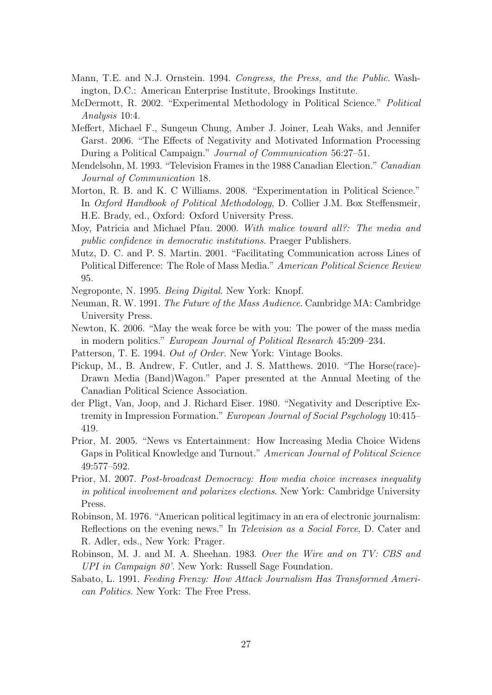- Mann, T.E. and N.J. Ornstein. 1994. Congress, the Press, and the Public. Washington, D.C.: American Enterprise Institute, Brookings Institute.
- McDermott, R. 2002. "Experimental Methodology in Political Science." Political Analysis 10:4.
- Meffert, Michael F., Sungeun Chung, Amber J. Joiner, Leah Waks, and Jennifer Garst. 2006. "The Effects of Negativity and Motivated Information Processing During a Political Campaign." Journal of Communication 56:27–51.
- Mendelsohn, M. 1993. "Television Frames in the 1988 Canadian Election." Canadian Journal of Communication 18.
- Morton, R. B. and K. C Williams. 2008. "Experimentation in Political Science." In Oxford Handbook of Political Methodology, D. Collier J.M. Box Steffensmeir, H.E. Brady, ed., Oxford: Oxford University Press.
- Moy, Patricia and Michael Pfau. 2000. With malice toward all?: The media and public confidence in democratic institutions. Praeger Publishers.
- Mutz, D. C. and P. S. Martin. 2001. "Facilitating Communication across Lines of Political Difference: The Role of Mass Media." American Political Science Review 95.
- Negroponte, N. 1995. Being Digital. New York: Knopf.
- Neuman, R. W. 1991. The Future of the Mass Audience. Cambridge MA: Cambridge University Press.
- Newton, K. 2006. "May the weak force be with you: The power of the mass media in modern politics." European Journal of Political Research 45:209–234.
- Patterson, T. E. 1994. Out of Order. New York: Vintage Books.
- Pickup, M., B. Andrew, F. Cutler, and J. S. Matthews. 2010. "The Horse(race)- Drawn Media (Band)Wagon." Paper presented at the Annual Meeting of the Canadian Political Science Association.
- der Pligt, Van, Joop, and J. Richard Eiser. 1980. "Negativity and Descriptive Extremity in Impression Formation." European Journal of Social Psychology 10:415– 419.
- Prior, M. 2005. "News vs Entertainment: How Increasing Media Choice Widens Gaps in Political Knowledge and Turnout." American Journal of Political Science 49:577–592.
- Prior, M. 2007. Post-broadcast Democracy: How media choice increases inequality in political involvement and polarizes elections. New York: Cambridge University Press.
- Robinson, M. 1976. "American political legitimacy in an era of electronic journalism: Reflections on the evening news." In Television as a Social Force, D. Cater and R. Adler, eds., New York: Prager.
- Robinson, M. J. and M. A. Sheehan. 1983. Over the Wire and on TV: CBS and UPI in Campaign 80'. New York: Russell Sage Foundation.
- Sabato, L. 1991. Feeding Frenzy: How Attack Journalism Has Transformed American Politics. New York: The Free Press.